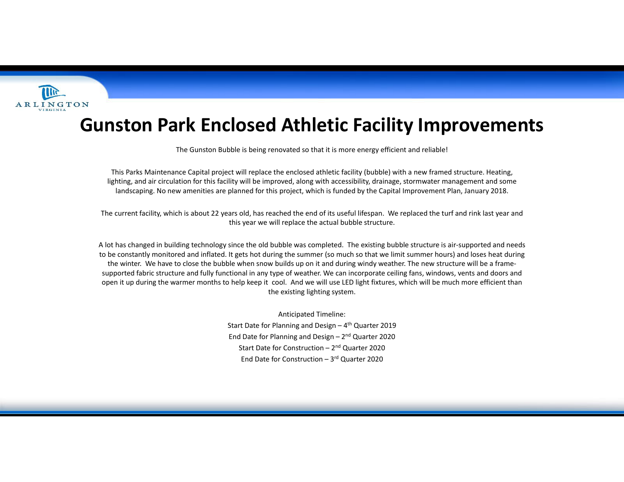

## **Gunston Park Enclosed Athletic Facility Improvements**

The Gunston Bubble is being renovated so that it is more energy efficient and reliable!

This Parks Maintenance Capital project will replace the enclosed athletic facility (bubble) with <sup>a</sup> new framed structure. Heating, lighting, and air circulation for this facility will be improved, along with accessibility, drainage, stormwater management and some landscaping. No new amenities are planned for this project, which is funded by the Capital Improvement Plan, January 2018.

The current facility, which is about 22 years old, has reached the end of its useful lifespan. We replaced the turf and rink last year and this year we will replace the actual bubble structure.

A lot has changed in building technology since the old bubble was completed. The existing bubble structure is air‐supported and needs to be constantly monitored and inflated. It gets hot during the summer (so much so that we limit summer hours) and loses heat during the winter. We have to close the bubble when snow builds up on it and during windy weather. The new structure will be <sup>a</sup> frame‐ supported fabric structure and fully functional in any type of weather. We can incorporate ceiling fans, windows, vents and doors and open it up during the warmer months to help keep it cool. And we will use LED light fixtures, which will be much more efficient than the existing lighting system.

> Anticipated Timeline: Start Date for Planning and Design – 4<sup>th</sup> Quarter 2019 End Date for Planning and Design – 2n<sup>d</sup> Quarter <sup>2020</sup> Start Date for Construction – 2<sup>nd</sup> Quarter 2020 End Date for Construction – 3r<sup>d</sup> Quarter 2020